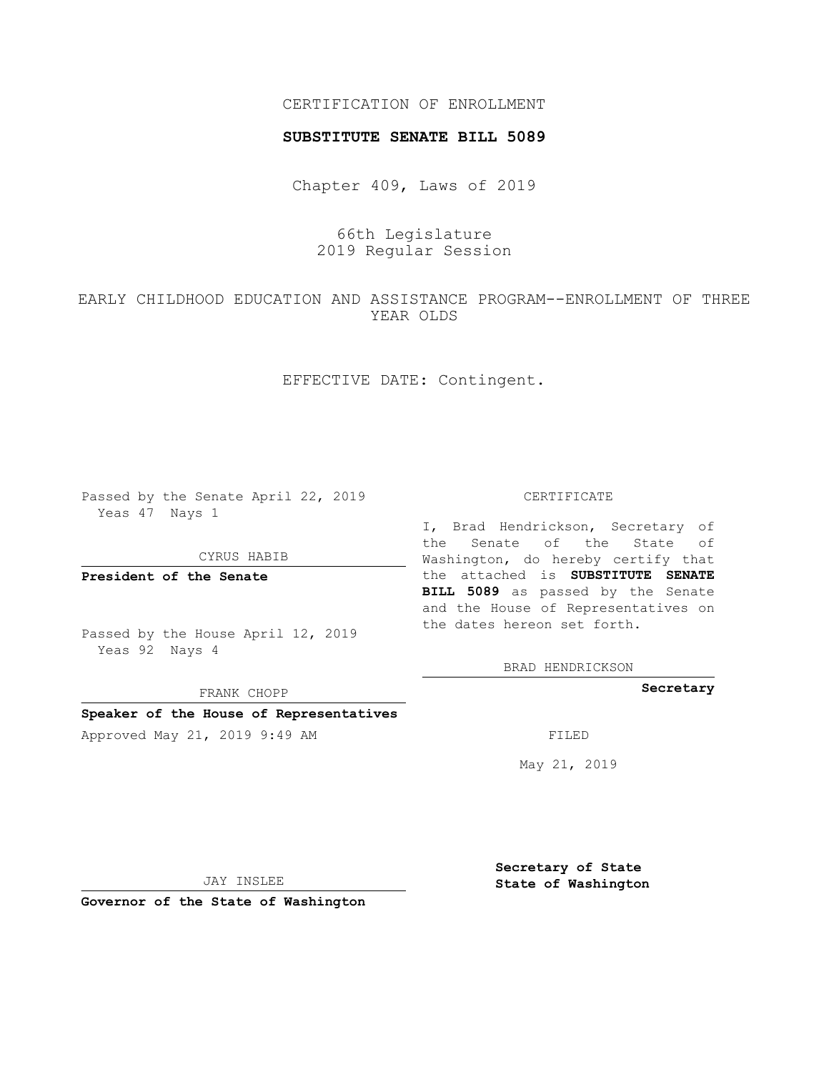# CERTIFICATION OF ENROLLMENT

#### **SUBSTITUTE SENATE BILL 5089**

Chapter 409, Laws of 2019

66th Legislature 2019 Regular Session

EARLY CHILDHOOD EDUCATION AND ASSISTANCE PROGRAM--ENROLLMENT OF THREE YEAR OLDS

## EFFECTIVE DATE: Contingent.

Passed by the Senate April 22, 2019 Yeas 47 Nays 1

CYRUS HABIB

**President of the Senate**

Passed by the House April 12, 2019 Yeas 92 Nays 4

FRANK CHOPP

### **Speaker of the House of Representatives**

Approved May 21, 2019 9:49 AM FILED

#### CERTIFICATE

I, Brad Hendrickson, Secretary of the Senate of the State of Washington, do hereby certify that the attached is **SUBSTITUTE SENATE BILL 5089** as passed by the Senate and the House of Representatives on the dates hereon set forth.

BRAD HENDRICKSON

**Secretary**

May 21, 2019

JAY INSLEE

**Governor of the State of Washington**

**Secretary of State State of Washington**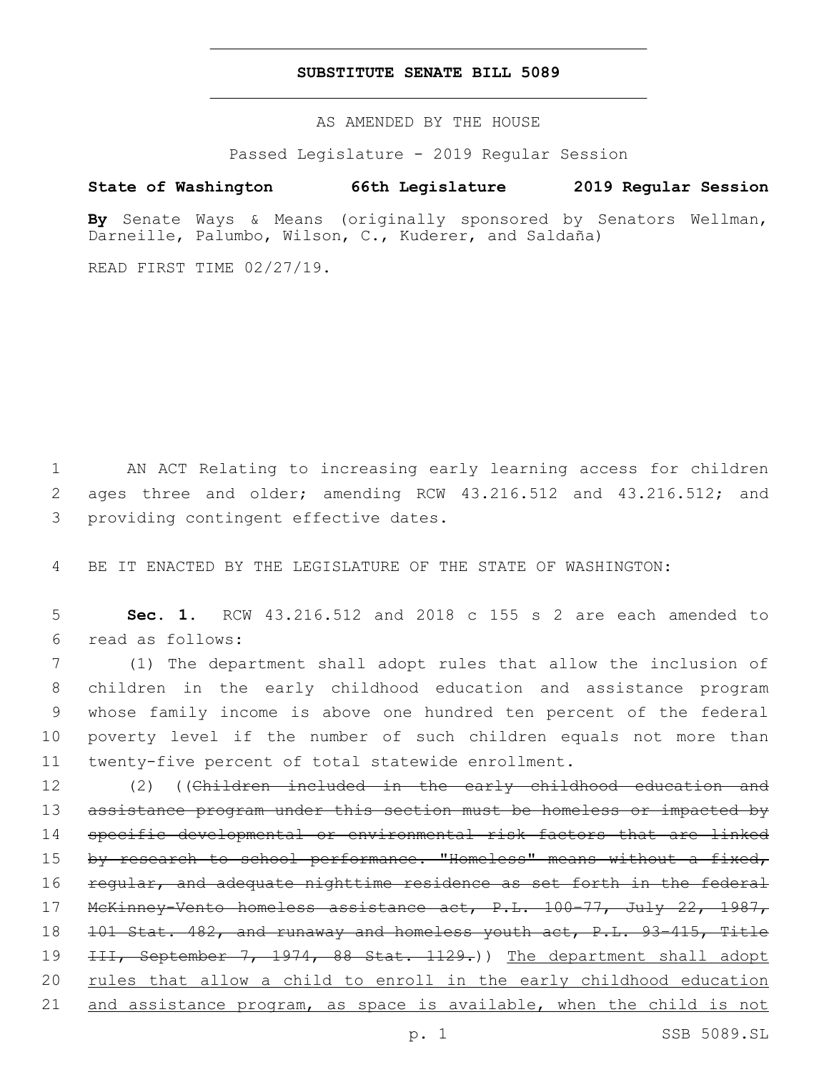### **SUBSTITUTE SENATE BILL 5089**

AS AMENDED BY THE HOUSE

Passed Legislature - 2019 Regular Session

# **State of Washington 66th Legislature 2019 Regular Session**

**By** Senate Ways & Means (originally sponsored by Senators Wellman, Darneille, Palumbo, Wilson, C., Kuderer, and Saldaña)

READ FIRST TIME 02/27/19.

1 AN ACT Relating to increasing early learning access for children 2 ages three and older; amending RCW 43.216.512 and 43.216.512; and 3 providing contingent effective dates.

4 BE IT ENACTED BY THE LEGISLATURE OF THE STATE OF WASHINGTON:

5 **Sec. 1.** RCW 43.216.512 and 2018 c 155 s 2 are each amended to read as follows:6

 (1) The department shall adopt rules that allow the inclusion of children in the early childhood education and assistance program whose family income is above one hundred ten percent of the federal poverty level if the number of such children equals not more than twenty-five percent of total statewide enrollment.

12 (2) ((Children included in the early childhood education and 13 assistance program under this section must be homeless or impacted by 14 specific developmental or environmental risk factors that are linked 15 by research to school performance. "Homeless" means without a fixed, 16 regular, and adequate nighttime residence as set forth in the federal 17 McKinney-Vento homeless assistance act, P.L. 100–77, July 22, 1987, 18 101 Stat. 482, and runaway and homeless youth act, P.L. 93–415, Title 19 <del>III, September 7, 1974, 88 Stat. 1129.</del>)) The department shall adopt 20 rules that allow a child to enroll in the early childhood education 21 and assistance program, as space is available, when the child is not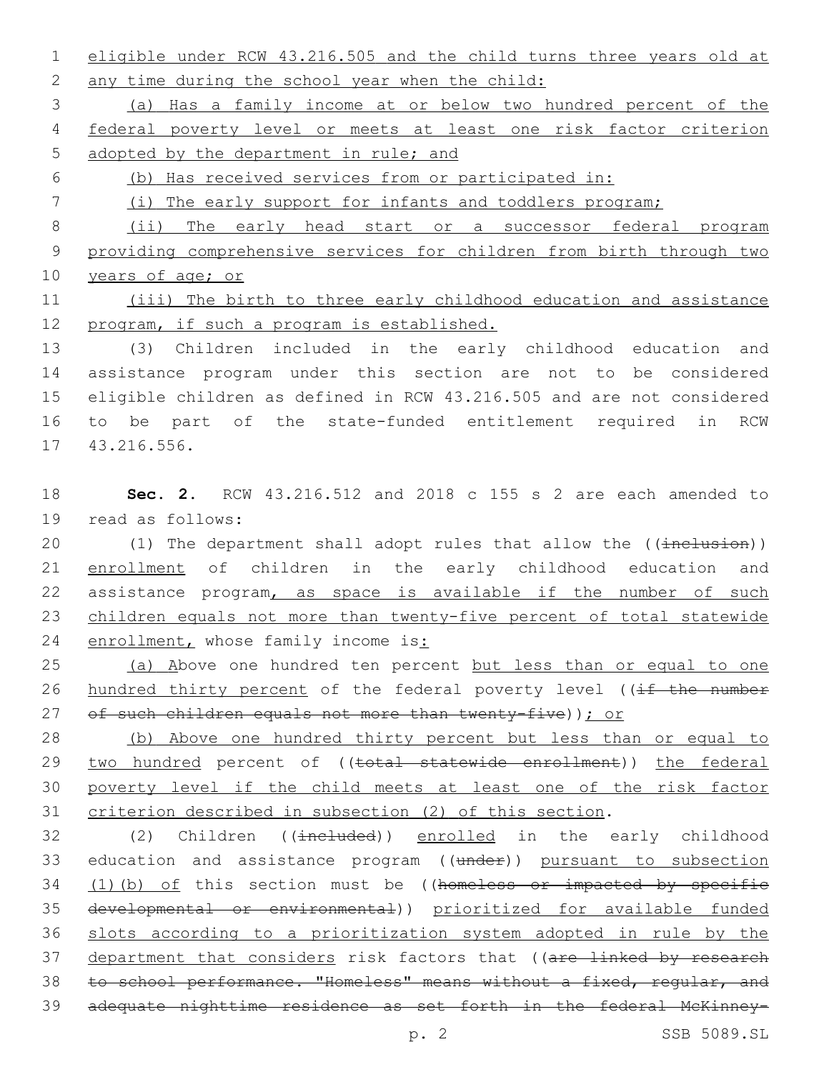1 eligible under RCW 43.216.505 and the child turns three years old at 2 any time during the school year when the child:

3 (a) Has a family income at or below two hundred percent of the 4 federal poverty level or meets at least one risk factor criterion 5 adopted by the department in rule; and

6 (b) Has received services from or participated in:

7 (i) The early support for infants and toddlers program;

8 (ii) The early head start or a successor federal program 9 providing comprehensive services for children from birth through two 10 years of age; or

11 (iii) The birth to three early childhood education and assistance 12 program, if such a program is established.

 (3) Children included in the early childhood education and assistance program under this section are not to be considered eligible children as defined in RCW 43.216.505 and are not considered to be part of the state-funded entitlement required in RCW 17 43.216.556.

18 **Sec. 2.** RCW 43.216.512 and 2018 c 155 s 2 are each amended to 19 read as follows:

20 (1) The department shall adopt rules that allow the ((inclusion)) 21 enrollment of children in the early childhood education and 22 assistance program, as space is available if the number of such 23 children equals not more than twenty-five percent of total statewide 24 enrollment, whose family income is:

25 (a) Above one hundred ten percent but less than or equal to one 26 hundred thirty percent of the federal poverty level ((if the number 27 of such children equals not more than twenty-five)); or

 (b) Above one hundred thirty percent but less than or equal to 29 two hundred percent of ((total statewide enrollment)) the federal poverty level if the child meets at least one of the risk factor criterion described in subsection (2) of this section.

32 (2) Children ((included)) enrolled in the early childhood 33 education and assistance program ((under)) pursuant to subsection 34 (1)(b) of this section must be ((homeless or impacted by specific 35 developmental or environmental)) prioritized for available funded 36 slots according to a prioritization system adopted in rule by the 37 department that considers risk factors that ((are linked by research 38 to school performance. "Homeless" means without a fixed, regular, and 39 adequate nighttime residence as set forth in the federal McKinney-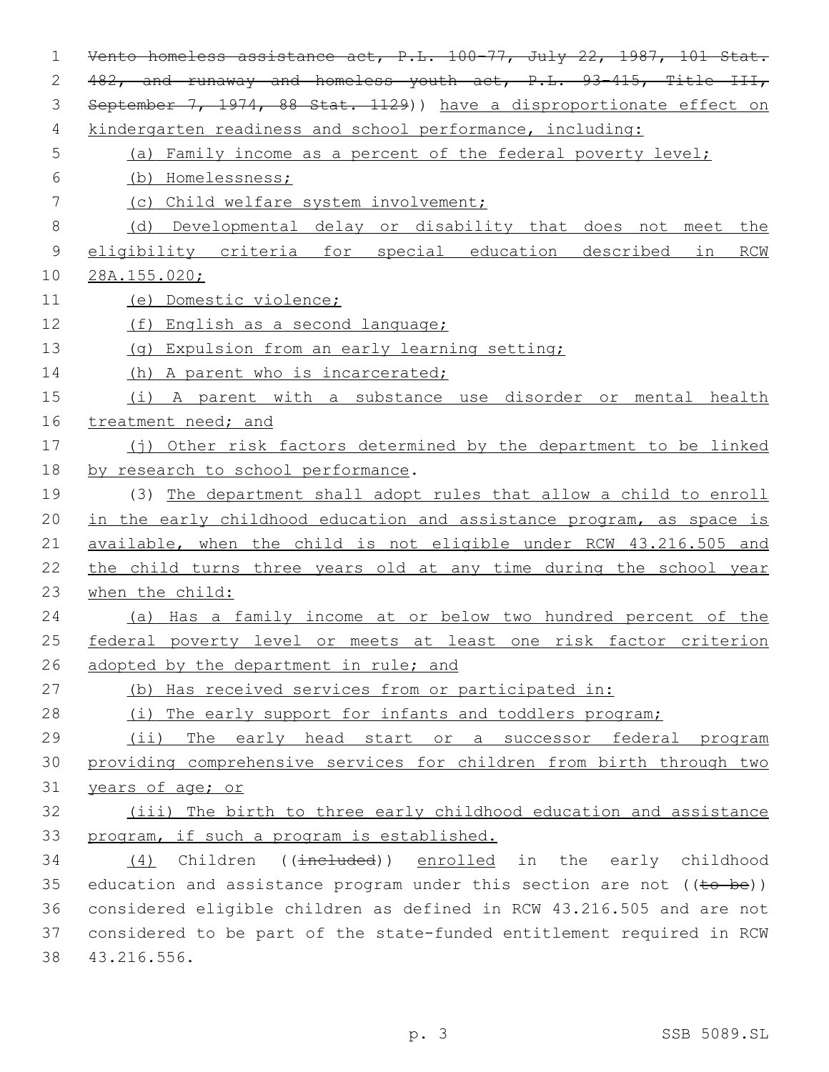| 1             | Vento homeless assistance act, P.L. 100-77, July 22, 1987, 101 Stat.    |
|---------------|-------------------------------------------------------------------------|
| 2             | 482, and runaway and homeless youth act, P.L. 93-415, Title III,        |
| 3             | September 7, 1974, 88 Stat. 1129)) have a disproportionate effect on    |
| 4             | kindergarten readiness and school performance, including:               |
| 5             | (a) Family income as a percent of the federal poverty level;            |
| 6             | (b) Homelessness;                                                       |
| 7             | (c) Child welfare system involvement;                                   |
| 8             | (d) Developmental delay or disability that does not meet the            |
| $\mathcal{G}$ | eligibility criteria for special education described in RCW             |
| 10            | 28A.155.020;                                                            |
| 11            | (e) Domestic violence;                                                  |
| 12            | (f) English as a second language;                                       |
| 13            | (q) Expulsion from an early learning setting;                           |
| 14            | (h) A parent who is incarcerated;                                       |
| 15            | (i) A parent with a substance use disorder or mental health             |
| 16            | treatment need; and                                                     |
| 17            | (j) Other risk factors determined by the department to be linked        |
| 18            | by research to school performance.                                      |
| 19            | (3) The department shall adopt rules that allow a child to enroll       |
| 20            | in the early childhood education and assistance program, as space is    |
| 21            | available, when the child is not eligible under RCW 43.216.505 and      |
| 22            | the child turns three years old at any time during the school year      |
| 23            | when the child:                                                         |
| 24            | (a) Has a family income at or below two hundred percent of the          |
| 25            | federal poverty level or meets at least one risk factor criterion       |
| 26            | adopted by the department in rule; and                                  |
| 27            | (b) Has received services from or participated in:                      |
| 28            | (i) The early support for infants and toddlers program;                 |
| 29            | $(i$ ii)<br>The early head start or a successor federal program         |
| 30            | providing comprehensive services for children from birth through two    |
| 31            | years of age; or                                                        |
| 32            | (iii) The birth to three early childhood education and assistance       |
| 33            | program, if such a program is established.                              |
| 34            | (4) Children ((included)) enrolled in the early childhood               |
| 35            | education and assistance program under this section are not $((to be))$ |
| 36            | considered eligible children as defined in RCW 43.216.505 and are not   |
| 37            | considered to be part of the state-funded entitlement required in RCW   |
| 38            | 43.216.556.                                                             |